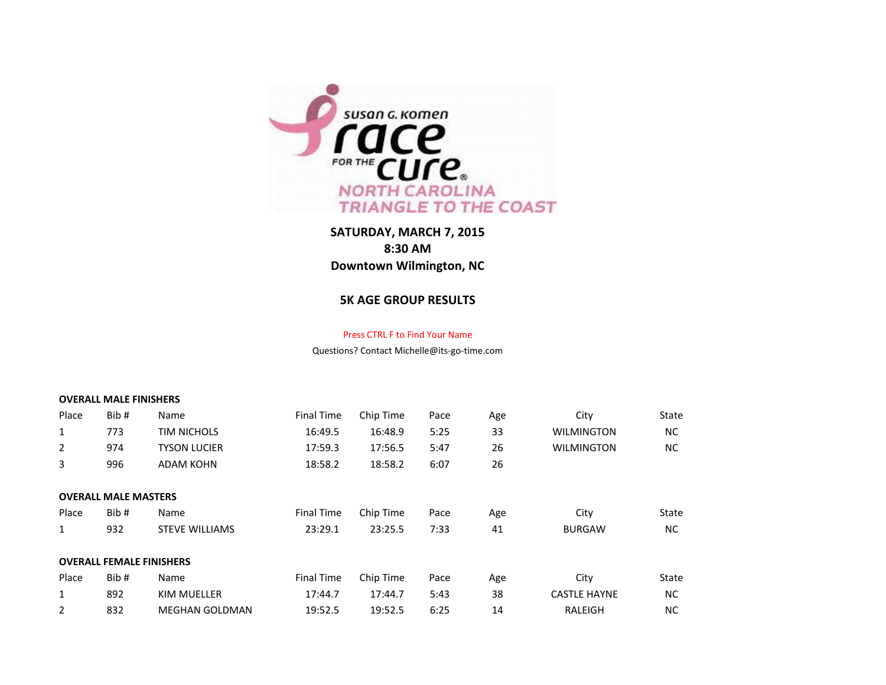

## **SATURDAY, MARCH 7, 2015 8:30 AM Downtown Wilmington, NC**

## **5K AGE GROUP RESULTS**

## Press CTRL F to Find Your Name

Questions? Contact Michelle@its-go-time.com

## **OVERALL MALE FINISHERS**

| Place          | Bib #                           | Name                  | <b>Final Time</b> | Chip Time | Pace | Age | City                | State     |
|----------------|---------------------------------|-----------------------|-------------------|-----------|------|-----|---------------------|-----------|
| $\mathbf{1}$   | 773                             | <b>TIM NICHOLS</b>    | 16:49.5           | 16:48.9   | 5:25 | 33  | <b>WILMINGTON</b>   | NC.       |
| 2              | 974                             | <b>TYSON LUCIER</b>   | 17:59.3           | 17:56.5   | 5:47 | 26  | <b>WILMINGTON</b>   | NC        |
| 3              | 996                             | <b>ADAM KOHN</b>      | 18:58.2           | 18:58.2   | 6:07 | 26  |                     |           |
|                |                                 |                       |                   |           |      |     |                     |           |
|                | <b>OVERALL MALE MASTERS</b>     |                       |                   |           |      |     |                     |           |
| Place          | Bib #                           | Name                  | <b>Final Time</b> | Chip Time | Pace | Age | City                | State     |
| 1              | 932                             | <b>STEVE WILLIAMS</b> | 23:29.1           | 23:25.5   | 7:33 | 41  | <b>BURGAW</b>       | NC.       |
|                |                                 |                       |                   |           |      |     |                     |           |
|                | <b>OVERALL FEMALE FINISHERS</b> |                       |                   |           |      |     |                     |           |
| Place          | Bib #                           | Name                  | <b>Final Time</b> | Chip Time | Pace | Age | City                | State     |
| $\mathbf{1}$   | 892                             | <b>KIM MUELLER</b>    | 17:44.7           | 17:44.7   | 5:43 | 38  | <b>CASTLE HAYNE</b> | <b>NC</b> |
| $\overline{2}$ | 832                             | <b>MEGHAN GOLDMAN</b> | 19:52.5           | 19:52.5   | 6:25 | 14  | RALEIGH             | NC.       |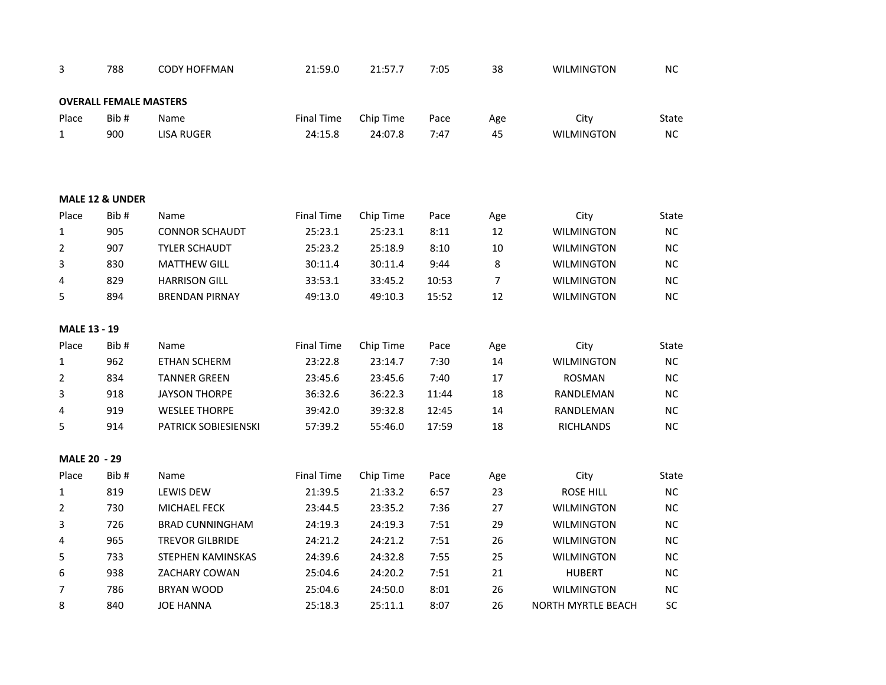| 3                   | 788                           | <b>CODY HOFFMAN</b>    | 21:59.0           | 21:57.7   | 7:05  | 38             | <b>WILMINGTON</b>         | <b>NC</b> |
|---------------------|-------------------------------|------------------------|-------------------|-----------|-------|----------------|---------------------------|-----------|
|                     | <b>OVERALL FEMALE MASTERS</b> |                        |                   |           |       |                |                           |           |
| Place               | Bib#                          | Name                   | <b>Final Time</b> | Chip Time | Pace  | Age            | City                      | State     |
| $\mathbf{1}$        | 900                           | <b>LISA RUGER</b>      | 24:15.8           | 24:07.8   | 7:47  | 45             | <b>WILMINGTON</b>         | NC        |
|                     | MALE 12 & UNDER               |                        |                   |           |       |                |                           |           |
| Place               | Bib#                          | Name                   | <b>Final Time</b> | Chip Time | Pace  | Age            | City                      | State     |
| $\mathbf{1}$        | 905                           | <b>CONNOR SCHAUDT</b>  | 25:23.1           | 25:23.1   | 8:11  | 12             | <b>WILMINGTON</b>         | NC        |
| $\overline{2}$      | 907                           | <b>TYLER SCHAUDT</b>   | 25:23.2           | 25:18.9   | 8:10  | 10             | <b>WILMINGTON</b>         | <b>NC</b> |
| 3                   | 830                           | <b>MATTHEW GILL</b>    | 30:11.4           | 30:11.4   | 9:44  | 8              | <b>WILMINGTON</b>         | <b>NC</b> |
| 4                   | 829                           | <b>HARRISON GILL</b>   | 33:53.1           | 33:45.2   | 10:53 | $\overline{7}$ | <b>WILMINGTON</b>         | <b>NC</b> |
| 5                   | 894                           | <b>BRENDAN PIRNAY</b>  | 49:13.0           | 49:10.3   | 15:52 | 12             | <b>WILMINGTON</b>         | <b>NC</b> |
| <b>MALE 13 - 19</b> |                               |                        |                   |           |       |                |                           |           |
| Place               | Bib#                          | Name                   | <b>Final Time</b> | Chip Time | Pace  | Age            | City                      | State     |
| $\mathbf{1}$        | 962                           | <b>ETHAN SCHERM</b>    | 23:22.8           | 23:14.7   | 7:30  | 14             | <b>WILMINGTON</b>         | NC        |
| $\overline{2}$      | 834                           | <b>TANNER GREEN</b>    | 23:45.6           | 23:45.6   | 7:40  | 17             | <b>ROSMAN</b>             | <b>NC</b> |
| 3                   | 918                           | <b>JAYSON THORPE</b>   | 36:32.6           | 36:22.3   | 11:44 | 18             | RANDLEMAN                 | <b>NC</b> |
| 4                   | 919                           | <b>WESLEE THORPE</b>   | 39:42.0           | 39:32.8   | 12:45 | 14             | RANDLEMAN                 | <b>NC</b> |
| 5                   | 914                           | PATRICK SOBIESIENSKI   | 57:39.2           | 55:46.0   | 17:59 | 18             | <b>RICHLANDS</b>          | NC.       |
| MALE 20 - 29        |                               |                        |                   |           |       |                |                           |           |
| Place               | Bib#                          | Name                   | <b>Final Time</b> | Chip Time | Pace  | Age            | City                      | State     |
| $\mathbf{1}$        | 819                           | <b>LEWIS DEW</b>       | 21:39.5           | 21:33.2   | 6:57  | 23             | <b>ROSE HILL</b>          | NC        |
| $\overline{2}$      | 730                           | MICHAEL FECK           | 23:44.5           | 23:35.2   | 7:36  | 27             | <b>WILMINGTON</b>         | <b>NC</b> |
| 3                   | 726                           | <b>BRAD CUNNINGHAM</b> | 24:19.3           | 24:19.3   | 7:51  | 29             | <b>WILMINGTON</b>         | NC.       |
| 4                   | 965                           | <b>TREVOR GILBRIDE</b> | 24:21.2           | 24:21.2   | 7:51  | 26             | <b>WILMINGTON</b>         | <b>NC</b> |
| 5                   | 733                           | STEPHEN KAMINSKAS      | 24:39.6           | 24:32.8   | 7:55  | 25             | <b>WILMINGTON</b>         | <b>NC</b> |
| 6                   | 938                           | ZACHARY COWAN          | 25:04.6           | 24:20.2   | 7:51  | 21             | <b>HUBERT</b>             | <b>NC</b> |
| $\overline{7}$      | 786                           | <b>BRYAN WOOD</b>      | 25:04.6           | 24:50.0   | 8:01  | 26             | <b>WILMINGTON</b>         | <b>NC</b> |
| 8                   | 840                           | <b>JOE HANNA</b>       | 25:18.3           | 25:11.1   | 8:07  | 26             | <b>NORTH MYRTLE BEACH</b> | SC        |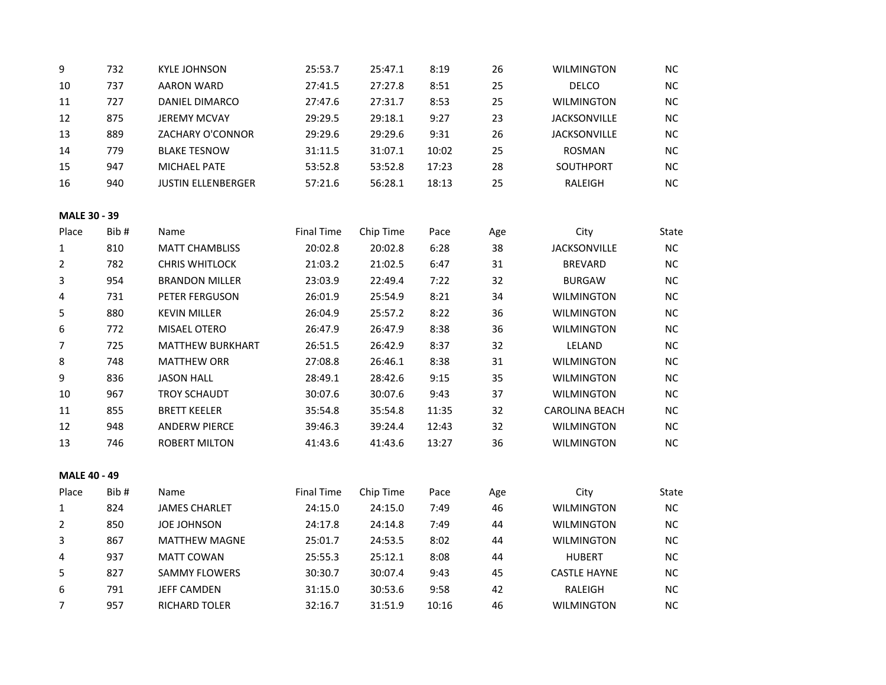| 9                   | 732  | <b>KYLE JOHNSON</b>       | 25:53.7           | 25:47.1   | 8:19  | 26  | <b>WILMINGTON</b>     | <b>NC</b> |
|---------------------|------|---------------------------|-------------------|-----------|-------|-----|-----------------------|-----------|
| 10                  | 737  | <b>AARON WARD</b>         | 27:41.5           | 27:27.8   | 8:51  | 25  | <b>DELCO</b>          | NC        |
| 11                  | 727  | DANIEL DIMARCO            | 27:47.6           | 27:31.7   | 8:53  | 25  | <b>WILMINGTON</b>     | <b>NC</b> |
| 12                  | 875  | <b>JEREMY MCVAY</b>       | 29:29.5           | 29:18.1   | 9:27  | 23  | <b>JACKSONVILLE</b>   | NC        |
| 13                  | 889  | ZACHARY O'CONNOR          | 29:29.6           | 29:29.6   | 9:31  | 26  | <b>JACKSONVILLE</b>   | $NC$      |
| 14                  | 779  | <b>BLAKE TESNOW</b>       | 31:11.5           | 31:07.1   | 10:02 | 25  | <b>ROSMAN</b>         | NC        |
| 15                  | 947  | MICHAEL PATE              | 53:52.8           | 53:52.8   | 17:23 | 28  | SOUTHPORT             | NC        |
| 16                  | 940  | <b>JUSTIN ELLENBERGER</b> | 57:21.6           | 56:28.1   | 18:13 | 25  | RALEIGH               | NC        |
| MALE 30 - 39        |      |                           |                   |           |       |     |                       |           |
| Place               | Bib# | Name                      | <b>Final Time</b> | Chip Time | Pace  | Age | City                  | State     |
| $\mathbf{1}$        | 810  | <b>MATT CHAMBLISS</b>     | 20:02.8           | 20:02.8   | 6:28  | 38  | <b>JACKSONVILLE</b>   | NC        |
| $\overline{2}$      | 782  | <b>CHRIS WHITLOCK</b>     | 21:03.2           | 21:02.5   | 6:47  | 31  | <b>BREVARD</b>        | NC        |
| 3                   | 954  | <b>BRANDON MILLER</b>     | 23:03.9           | 22:49.4   | 7:22  | 32  | <b>BURGAW</b>         | NC        |
| $\overline{4}$      | 731  | PETER FERGUSON            | 26:01.9           | 25:54.9   | 8:21  | 34  | <b>WILMINGTON</b>     | NC        |
| 5                   | 880  | <b>KEVIN MILLER</b>       | 26:04.9           | 25:57.2   | 8:22  | 36  | <b>WILMINGTON</b>     | $NC$      |
| 6                   | 772  | MISAEL OTERO              | 26:47.9           | 26:47.9   | 8:38  | 36  | <b>WILMINGTON</b>     | NC        |
| $\overline{7}$      | 725  | <b>MATTHEW BURKHART</b>   | 26:51.5           | 26:42.9   | 8:37  | 32  | LELAND                | NC        |
| 8                   | 748  | <b>MATTHEW ORR</b>        | 27:08.8           | 26:46.1   | 8:38  | 31  | <b>WILMINGTON</b>     | NC        |
| $\boldsymbol{9}$    | 836  | <b>JASON HALL</b>         | 28:49.1           | 28:42.6   | 9:15  | 35  | <b>WILMINGTON</b>     | NC        |
| 10                  | 967  | <b>TROY SCHAUDT</b>       | 30:07.6           | 30:07.6   | 9:43  | 37  | <b>WILMINGTON</b>     | NC        |
| 11                  | 855  | <b>BRETT KEELER</b>       | 35:54.8           | 35:54.8   | 11:35 | 32  | <b>CAROLINA BEACH</b> | <b>NC</b> |
| 12                  | 948  | <b>ANDERW PIERCE</b>      | 39:46.3           | 39:24.4   | 12:43 | 32  | <b>WILMINGTON</b>     | <b>NC</b> |
| 13                  | 746  | <b>ROBERT MILTON</b>      | 41:43.6           | 41:43.6   | 13:27 | 36  | <b>WILMINGTON</b>     | NC        |
| <b>MALE 40 - 49</b> |      |                           |                   |           |       |     |                       |           |
| Place               | Bib# | Name                      | <b>Final Time</b> | Chip Time | Pace  | Age | City                  | State     |
| $\mathbf{1}$        | 824  | <b>JAMES CHARLET</b>      | 24:15.0           | 24:15.0   | 7:49  | 46  | <b>WILMINGTON</b>     | NC        |
| $\overline{2}$      | 850  | <b>JOE JOHNSON</b>        | 24:17.8           | 24:14.8   | 7:49  | 44  | <b>WILMINGTON</b>     | $NC$      |
| 3                   | 867  | <b>MATTHEW MAGNE</b>      | 25:01.7           | 24:53.5   | 8:02  | 44  | <b>WILMINGTON</b>     | NC        |
| $\overline{4}$      | 937  | <b>MATT COWAN</b>         | 25:55.3           | 25:12.1   | 8:08  | 44  | <b>HUBERT</b>         | $NC$      |
| 5                   | 827  | <b>SAMMY FLOWERS</b>      | 30:30.7           | 30:07.4   | 9:43  | 45  | <b>CASTLE HAYNE</b>   | <b>NC</b> |
| 6                   | 791  | <b>JEFF CAMDEN</b>        | 31:15.0           | 30:53.6   | 9:58  | 42  | RALEIGH               | NC        |
| $\overline{7}$      | 957  | RICHARD TOLER             | 32:16.7           | 31:51.9   | 10:16 | 46  | <b>WILMINGTON</b>     | NC        |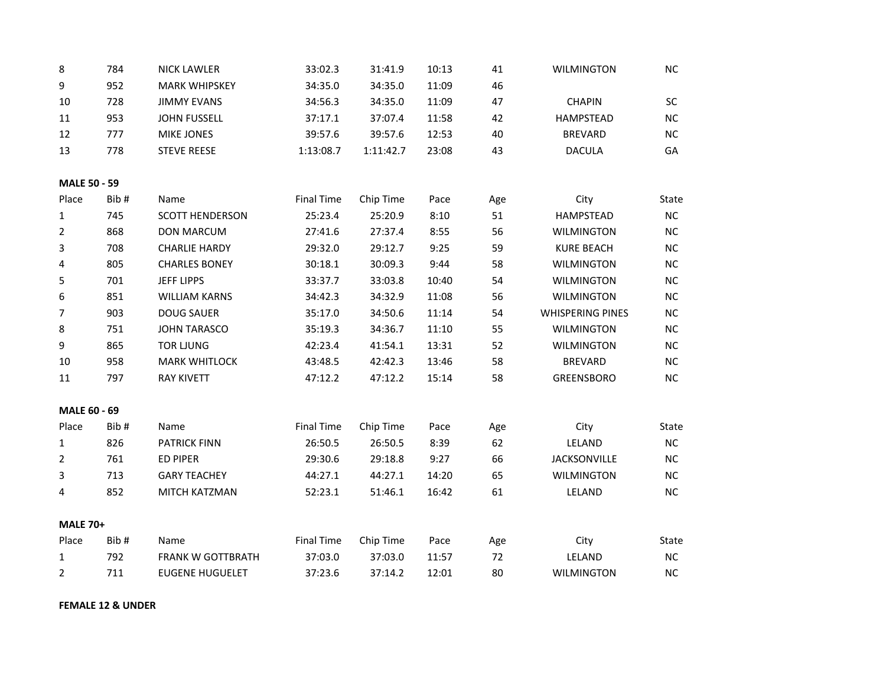| 8                   | 784  | <b>NICK LAWLER</b>       | 33:02.3           | 31:41.9   | 10:13 | 41  | <b>WILMINGTON</b>       | <b>NC</b> |
|---------------------|------|--------------------------|-------------------|-----------|-------|-----|-------------------------|-----------|
| 9                   | 952  | <b>MARK WHIPSKEY</b>     | 34:35.0           | 34:35.0   | 11:09 | 46  |                         |           |
| 10                  | 728  | <b>JIMMY EVANS</b>       | 34:56.3           | 34:35.0   | 11:09 | 47  | <b>CHAPIN</b>           | SC        |
| 11                  | 953  | <b>JOHN FUSSELL</b>      | 37:17.1           | 37:07.4   | 11:58 | 42  | <b>HAMPSTEAD</b>        | <b>NC</b> |
| 12                  | 777  | <b>MIKE JONES</b>        | 39:57.6           | 39:57.6   | 12:53 | 40  | <b>BREVARD</b>          | $NC$      |
| 13                  | 778  | <b>STEVE REESE</b>       | 1:13:08.7         | 1:11:42.7 | 23:08 | 43  | <b>DACULA</b>           | GA        |
| <b>MALE 50 - 59</b> |      |                          |                   |           |       |     |                         |           |
| Place               | Bib# | Name                     | <b>Final Time</b> | Chip Time | Pace  | Age | City                    | State     |
| $\mathbf{1}$        | 745  | <b>SCOTT HENDERSON</b>   | 25:23.4           | 25:20.9   | 8:10  | 51  | <b>HAMPSTEAD</b>        | NC        |
| $\overline{2}$      | 868  | <b>DON MARCUM</b>        | 27:41.6           | 27:37.4   | 8:55  | 56  | <b>WILMINGTON</b>       | NC        |
| 3                   | 708  | <b>CHARLIE HARDY</b>     | 29:32.0           | 29:12.7   | 9:25  | 59  | <b>KURE BEACH</b>       | NC        |
| 4                   | 805  | <b>CHARLES BONEY</b>     | 30:18.1           | 30:09.3   | 9:44  | 58  | <b>WILMINGTON</b>       | <b>NC</b> |
| 5                   | 701  | <b>JEFF LIPPS</b>        | 33:37.7           | 33:03.8   | 10:40 | 54  | <b>WILMINGTON</b>       | NC        |
| 6                   | 851  | <b>WILLIAM KARNS</b>     | 34:42.3           | 34:32.9   | 11:08 | 56  | <b>WILMINGTON</b>       | NC        |
| $\overline{7}$      | 903  | <b>DOUG SAUER</b>        | 35:17.0           | 34:50.6   | 11:14 | 54  | <b>WHISPERING PINES</b> | <b>NC</b> |
| 8                   | 751  | <b>JOHN TARASCO</b>      | 35:19.3           | 34:36.7   | 11:10 | 55  | <b>WILMINGTON</b>       | $NC$      |
| 9                   | 865  | <b>TOR LJUNG</b>         | 42:23.4           | 41:54.1   | 13:31 | 52  | <b>WILMINGTON</b>       | NC        |
| 10                  | 958  | <b>MARK WHITLOCK</b>     | 43:48.5           | 42:42.3   | 13:46 | 58  | <b>BREVARD</b>          | NC        |
| 11                  | 797  | <b>RAY KIVETT</b>        | 47:12.2           | 47:12.2   | 15:14 | 58  | <b>GREENSBORO</b>       | NC        |
| MALE 60 - 69        |      |                          |                   |           |       |     |                         |           |
| Place               | Bib# | Name                     | <b>Final Time</b> | Chip Time | Pace  | Age | City                    | State     |
| $\mathbf{1}$        | 826  | <b>PATRICK FINN</b>      | 26:50.5           | 26:50.5   | 8:39  | 62  | LELAND                  | NC        |
| $\overline{2}$      | 761  | <b>ED PIPER</b>          | 29:30.6           | 29:18.8   | 9:27  | 66  | JACKSONVILLE            | $NC$      |
| 3                   | 713  | <b>GARY TEACHEY</b>      | 44:27.1           | 44:27.1   | 14:20 | 65  | <b>WILMINGTON</b>       | $NC$      |
| 4                   | 852  | MITCH KATZMAN            | 52:23.1           | 51:46.1   | 16:42 | 61  | LELAND                  | NC        |
| <b>MALE 70+</b>     |      |                          |                   |           |       |     |                         |           |
| Place               | Bib# | Name                     | <b>Final Time</b> | Chip Time | Pace  | Age | City                    | State     |
| $\mathbf{1}$        | 792  | <b>FRANK W GOTTBRATH</b> | 37:03.0           | 37:03.0   | 11:57 | 72  | LELAND                  | NC        |
| $\overline{2}$      | 711  | <b>EUGENE HUGUELET</b>   | 37:23.6           | 37:14.2   | 12:01 | 80  | <b>WILMINGTON</b>       | NC        |

**FEMALE 12 & UNDER**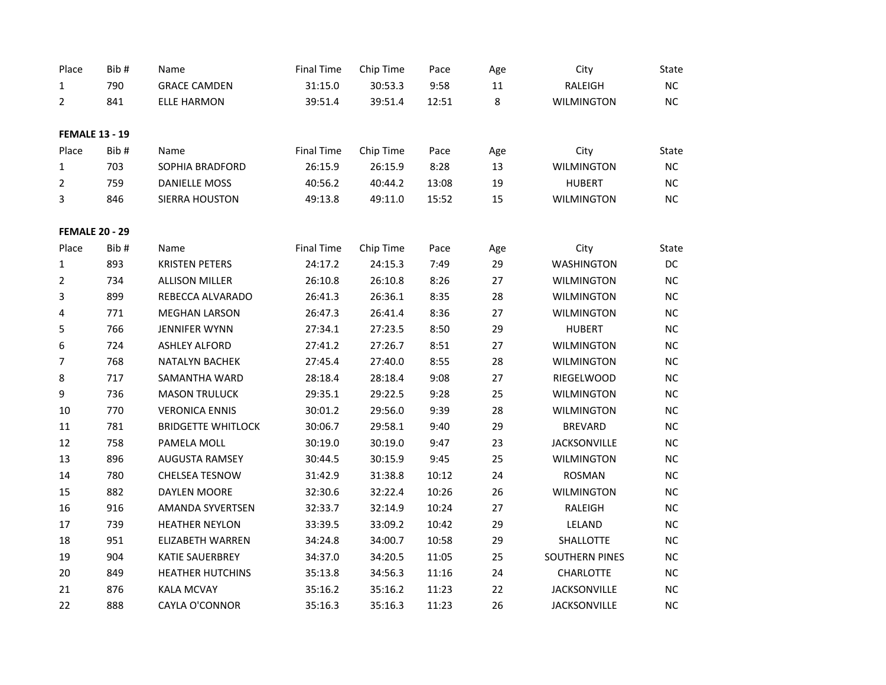| Place                 | Bib#                  | Name                      | <b>Final Time</b> | Chip Time | Pace  | Age    | City                  | State     |
|-----------------------|-----------------------|---------------------------|-------------------|-----------|-------|--------|-----------------------|-----------|
| 1                     | 790                   | <b>GRACE CAMDEN</b>       | 31:15.0           | 30:53.3   | 9:58  | $11\,$ | RALEIGH               | NC        |
| 2                     | 841                   | <b>ELLE HARMON</b>        | 39:51.4           | 39:51.4   | 12:51 | 8      | <b>WILMINGTON</b>     | NC        |
|                       |                       |                           |                   |           |       |        |                       |           |
|                       | <b>FEMALE 13 - 19</b> |                           |                   |           |       |        |                       |           |
| Place                 | Bib#                  | Name                      | <b>Final Time</b> | Chip Time | Pace  | Age    | City                  | State     |
| $\mathbf{1}$          | 703                   | SOPHIA BRADFORD           | 26:15.9           | 26:15.9   | 8:28  | 13     | <b>WILMINGTON</b>     | NC        |
| $\overline{2}$        | 759                   | <b>DANIELLE MOSS</b>      | 40:56.2           | 40:44.2   | 13:08 | 19     | <b>HUBERT</b>         | NC        |
| 3                     | 846                   | <b>SIERRA HOUSTON</b>     | 49:13.8           | 49:11.0   | 15:52 | 15     | <b>WILMINGTON</b>     | NC        |
| <b>FEMALE 20 - 29</b> |                       |                           |                   |           |       |        |                       |           |
| Place                 | Bib#                  | Name                      | <b>Final Time</b> | Chip Time | Pace  | Age    | City                  | State     |
| $\mathbf{1}$          | 893                   | <b>KRISTEN PETERS</b>     | 24:17.2           | 24:15.3   | 7:49  | 29     | <b>WASHINGTON</b>     | DC        |
| $\overline{2}$        | 734                   | <b>ALLISON MILLER</b>     | 26:10.8           | 26:10.8   | 8:26  | 27     | <b>WILMINGTON</b>     | NC        |
| 3                     | 899                   | REBECCA ALVARADO          | 26:41.3           | 26:36.1   | 8:35  | 28     | <b>WILMINGTON</b>     | <b>NC</b> |
| 4                     | 771                   | <b>MEGHAN LARSON</b>      | 26:47.3           | 26:41.4   | 8:36  | 27     | <b>WILMINGTON</b>     | NC        |
| 5                     | 766                   | <b>JENNIFER WYNN</b>      | 27:34.1           | 27:23.5   | 8:50  | 29     | <b>HUBERT</b>         | <b>NC</b> |
| 6                     | 724                   | <b>ASHLEY ALFORD</b>      | 27:41.2           | 27:26.7   | 8:51  | 27     | <b>WILMINGTON</b>     | <b>NC</b> |
| $\overline{7}$        | 768                   | <b>NATALYN BACHEK</b>     | 27:45.4           | 27:40.0   | 8:55  | 28     | <b>WILMINGTON</b>     | NC        |
| 8                     | 717                   | SAMANTHA WARD             | 28:18.4           | 28:18.4   | 9:08  | 27     | RIEGELWOOD            | <b>NC</b> |
| 9                     | 736                   | <b>MASON TRULUCK</b>      | 29:35.1           | 29:22.5   | 9:28  | 25     | <b>WILMINGTON</b>     | <b>NC</b> |
| $10\,$                | 770                   | <b>VERONICA ENNIS</b>     | 30:01.2           | 29:56.0   | 9:39  | 28     | <b>WILMINGTON</b>     | <b>NC</b> |
| 11                    | 781                   | <b>BRIDGETTE WHITLOCK</b> | 30:06.7           | 29:58.1   | 9:40  | 29     | <b>BREVARD</b>        | NC        |
| 12                    | 758                   | PAMELA MOLL               | 30:19.0           | 30:19.0   | 9:47  | 23     | <b>JACKSONVILLE</b>   | NC        |
| 13                    | 896                   | <b>AUGUSTA RAMSEY</b>     | 30:44.5           | 30:15.9   | 9:45  | 25     | <b>WILMINGTON</b>     | NC        |
| 14                    | 780                   | <b>CHELSEA TESNOW</b>     | 31:42.9           | 31:38.8   | 10:12 | 24     | <b>ROSMAN</b>         | <b>NC</b> |
| 15                    | 882                   | DAYLEN MOORE              | 32:30.6           | 32:22.4   | 10:26 | 26     | <b>WILMINGTON</b>     | <b>NC</b> |
| 16                    | 916                   | AMANDA SYVERTSEN          | 32:33.7           | 32:14.9   | 10:24 | 27     | RALEIGH               | <b>NC</b> |
| 17                    | 739                   | <b>HEATHER NEYLON</b>     | 33:39.5           | 33:09.2   | 10:42 | 29     | LELAND                | <b>NC</b> |
| 18                    | 951                   | <b>ELIZABETH WARREN</b>   | 34:24.8           | 34:00.7   | 10:58 | 29     | SHALLOTTE             | NC        |
| 19                    | 904                   | KATIE SAUERBREY           | 34:37.0           | 34:20.5   | 11:05 | 25     | <b>SOUTHERN PINES</b> | <b>NC</b> |
| 20                    | 849                   | <b>HEATHER HUTCHINS</b>   | 35:13.8           | 34:56.3   | 11:16 | 24     | CHARLOTTE             | <b>NC</b> |
| 21                    | 876                   | <b>KALA MCVAY</b>         | 35:16.2           | 35:16.2   | 11:23 | 22     | <b>JACKSONVILLE</b>   | NC        |
| 22                    | 888                   | <b>CAYLA O'CONNOR</b>     | 35:16.3           | 35:16.3   | 11:23 | 26     | <b>JACKSONVILLE</b>   | NC        |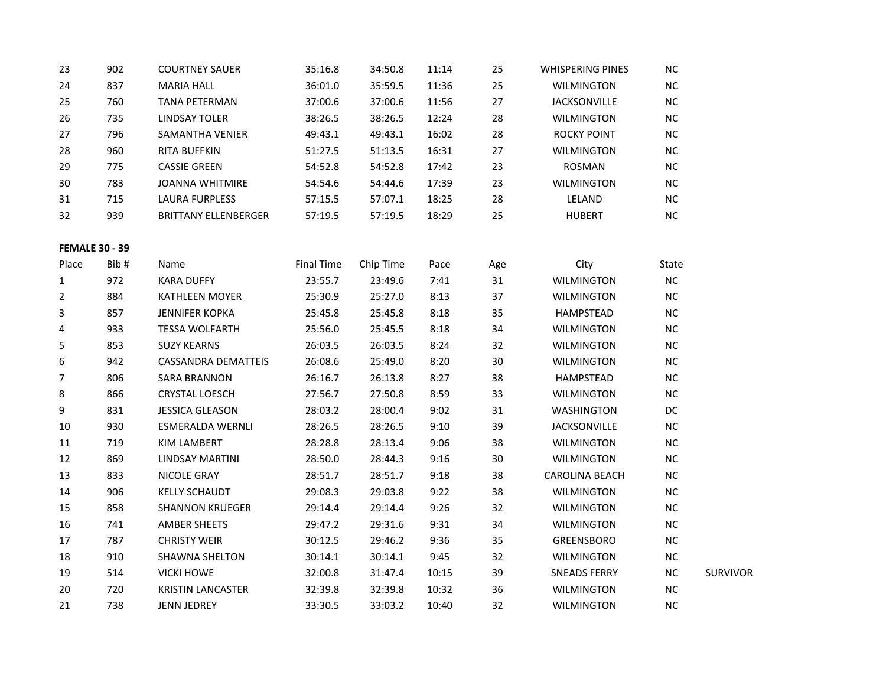| 23                    | 902  | <b>COURTNEY SAUER</b>       | 35:16.8           | 34:50.8   | 11:14 | 25  | <b>WHISPERING PINES</b> | <b>NC</b> |                 |
|-----------------------|------|-----------------------------|-------------------|-----------|-------|-----|-------------------------|-----------|-----------------|
| 24                    | 837  | <b>MARIA HALL</b>           | 36:01.0           | 35:59.5   | 11:36 | 25  | <b>WILMINGTON</b>       | NC        |                 |
| 25                    | 760  | TANA PETERMAN               | 37:00.6           | 37:00.6   | 11:56 | 27  | <b>JACKSONVILLE</b>     | NC        |                 |
| 26                    | 735  | <b>LINDSAY TOLER</b>        | 38:26.5           | 38:26.5   | 12:24 | 28  | <b>WILMINGTON</b>       | $NC$      |                 |
| 27                    | 796  | SAMANTHA VENIER             | 49:43.1           | 49:43.1   | 16:02 | 28  | <b>ROCKY POINT</b>      | NC        |                 |
| 28                    | 960  | <b>RITA BUFFKIN</b>         | 51:27.5           | 51:13.5   | 16:31 | 27  | <b>WILMINGTON</b>       | <b>NC</b> |                 |
| 29                    | 775  | <b>CASSIE GREEN</b>         | 54:52.8           | 54:52.8   | 17:42 | 23  | <b>ROSMAN</b>           | $NC$      |                 |
| 30                    | 783  | <b>JOANNA WHITMIRE</b>      | 54:54.6           | 54:44.6   | 17:39 | 23  | <b>WILMINGTON</b>       | $NC$      |                 |
| 31                    | 715  | LAURA FURPLESS              | 57:15.5           | 57:07.1   | 18:25 | 28  | LELAND                  | $NC$      |                 |
| 32                    | 939  | <b>BRITTANY ELLENBERGER</b> | 57:19.5           | 57:19.5   | 18:29 | 25  | <b>HUBERT</b>           | <b>NC</b> |                 |
| <b>FEMALE 30 - 39</b> |      |                             |                   |           |       |     |                         |           |                 |
| Place                 | Bib# | Name                        | <b>Final Time</b> | Chip Time | Pace  | Age | City                    | State     |                 |
| $\mathbf{1}$          | 972  | <b>KARA DUFFY</b>           | 23:55.7           | 23:49.6   | 7:41  | 31  | <b>WILMINGTON</b>       | <b>NC</b> |                 |
| $\overline{2}$        | 884  | KATHLEEN MOYER              | 25:30.9           | 25:27.0   | 8:13  | 37  | <b>WILMINGTON</b>       | $NC$      |                 |
| 3                     | 857  | <b>JENNIFER KOPKA</b>       | 25:45.8           | 25:45.8   | 8:18  | 35  | HAMPSTEAD               | NC        |                 |
| 4                     | 933  | <b>TESSA WOLFARTH</b>       | 25:56.0           | 25:45.5   | 8:18  | 34  | <b>WILMINGTON</b>       | NC        |                 |
| 5                     | 853  | <b>SUZY KEARNS</b>          | 26:03.5           | 26:03.5   | 8:24  | 32  | <b>WILMINGTON</b>       | NC        |                 |
| 6                     | 942  | <b>CASSANDRA DEMATTEIS</b>  | 26:08.6           | 25:49.0   | 8:20  | 30  | <b>WILMINGTON</b>       | $NC$      |                 |
| $\overline{7}$        | 806  | <b>SARA BRANNON</b>         | 26:16.7           | 26:13.8   | 8:27  | 38  | HAMPSTEAD               | NC        |                 |
| 8                     | 866  | <b>CRYSTAL LOESCH</b>       | 27:56.7           | 27:50.8   | 8:59  | 33  | <b>WILMINGTON</b>       | NC        |                 |
| 9                     | 831  | <b>JESSICA GLEASON</b>      | 28:03.2           | 28:00.4   | 9:02  | 31  | <b>WASHINGTON</b>       | DC        |                 |
| 10                    | 930  | ESMERALDA WERNLI            | 28:26.5           | 28:26.5   | 9:10  | 39  | <b>JACKSONVILLE</b>     | NC        |                 |
| 11                    | 719  | KIM LAMBERT                 | 28:28.8           | 28:13.4   | 9:06  | 38  | <b>WILMINGTON</b>       | $NC$      |                 |
| $12\,$                | 869  | LINDSAY MARTINI             | 28:50.0           | 28:44.3   | 9:16  | 30  | <b>WILMINGTON</b>       | <b>NC</b> |                 |
| 13                    | 833  | NICOLE GRAY                 | 28:51.7           | 28:51.7   | 9:18  | 38  | <b>CAROLINA BEACH</b>   | NC        |                 |
| 14                    | 906  | <b>KELLY SCHAUDT</b>        | 29:08.3           | 29:03.8   | 9:22  | 38  | <b>WILMINGTON</b>       | <b>NC</b> |                 |
| 15                    | 858  | <b>SHANNON KRUEGER</b>      | 29:14.4           | 29:14.4   | 9:26  | 32  | <b>WILMINGTON</b>       | NC        |                 |
| 16                    | 741  | AMBER SHEETS                | 29:47.2           | 29:31.6   | 9:31  | 34  | <b>WILMINGTON</b>       | $NC$      |                 |
| 17                    | 787  | <b>CHRISTY WEIR</b>         | 30:12.5           | 29:46.2   | 9:36  | 35  | GREENSBORO              | $NC$      |                 |
| 18                    | 910  | SHAWNA SHELTON              | 30:14.1           | 30:14.1   | 9:45  | 32  | <b>WILMINGTON</b>       | NC        |                 |
| 19                    | 514  | <b>VICKI HOWE</b>           | 32:00.8           | 31:47.4   | 10:15 | 39  | <b>SNEADS FERRY</b>     | <b>NC</b> | <b>SURVIVOR</b> |
| 20                    | 720  | <b>KRISTIN LANCASTER</b>    | 32:39.8           | 32:39.8   | 10:32 | 36  | <b>WILMINGTON</b>       | NC        |                 |
| 21                    | 738  | <b>JENN JEDREY</b>          | 33:30.5           | 33:03.2   | 10:40 | 32  | WILMINGTON              | <b>NC</b> |                 |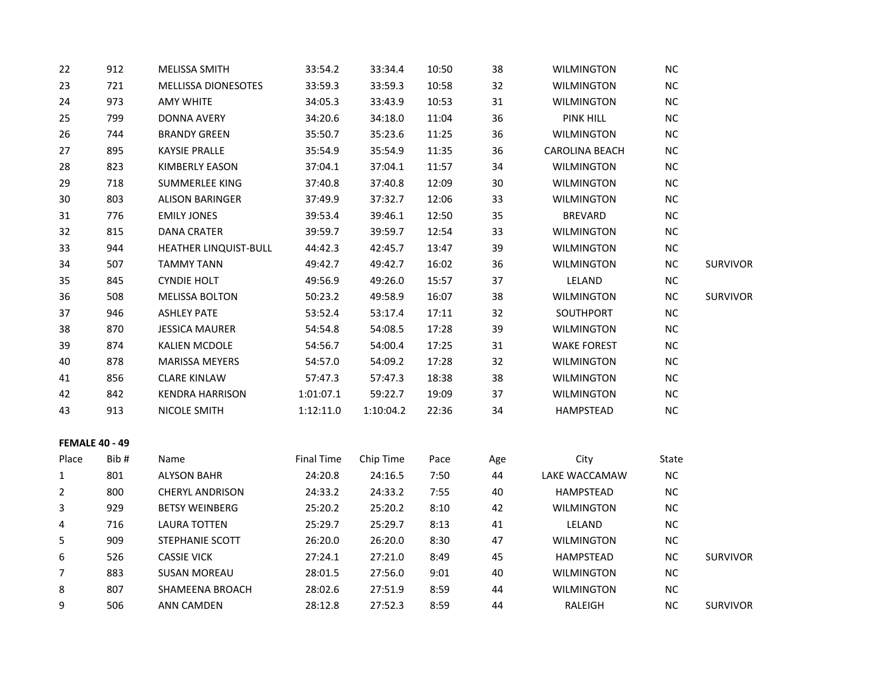| 22                    | 912  | MELISSA SMITH                | 33:54.2           | 33:34.4   | 10:50 | 38  | <b>WILMINGTON</b>     | NC        |                 |
|-----------------------|------|------------------------------|-------------------|-----------|-------|-----|-----------------------|-----------|-----------------|
| 23                    | 721  | <b>MELLISSA DIONESOTES</b>   | 33:59.3           | 33:59.3   | 10:58 | 32  | <b>WILMINGTON</b>     | $NC$      |                 |
| 24                    | 973  | <b>AMY WHITE</b>             | 34:05.3           | 33:43.9   | 10:53 | 31  | <b>WILMINGTON</b>     | $NC$      |                 |
| 25                    | 799  | <b>DONNA AVERY</b>           | 34:20.6           | 34:18.0   | 11:04 | 36  | <b>PINK HILL</b>      | NC        |                 |
| 26                    | 744  | <b>BRANDY GREEN</b>          | 35:50.7           | 35:23.6   | 11:25 | 36  | <b>WILMINGTON</b>     | $NC$      |                 |
| 27                    | 895  | <b>KAYSIE PRALLE</b>         | 35:54.9           | 35:54.9   | 11:35 | 36  | <b>CAROLINA BEACH</b> | $NC$      |                 |
| 28                    | 823  | <b>KIMBERLY EASON</b>        | 37:04.1           | 37:04.1   | 11:57 | 34  | <b>WILMINGTON</b>     | NC        |                 |
| 29                    | 718  | SUMMERLEE KING               | 37:40.8           | 37:40.8   | 12:09 | 30  | <b>WILMINGTON</b>     | NC        |                 |
| 30                    | 803  | <b>ALISON BARINGER</b>       | 37:49.9           | 37:32.7   | 12:06 | 33  | <b>WILMINGTON</b>     | $NC$      |                 |
| 31                    | 776  | <b>EMILY JONES</b>           | 39:53.4           | 39:46.1   | 12:50 | 35  | <b>BREVARD</b>        | $NC$      |                 |
| 32                    | 815  | <b>DANA CRATER</b>           | 39:59.7           | 39:59.7   | 12:54 | 33  | <b>WILMINGTON</b>     | NC        |                 |
| 33                    | 944  | <b>HEATHER LINQUIST-BULL</b> | 44:42.3           | 42:45.7   | 13:47 | 39  | <b>WILMINGTON</b>     | NC        |                 |
| 34                    | 507  | <b>TAMMY TANN</b>            | 49:42.7           | 49:42.7   | 16:02 | 36  | <b>WILMINGTON</b>     | $NC$      | <b>SURVIVOR</b> |
| 35                    | 845  | <b>CYNDIE HOLT</b>           | 49:56.9           | 49:26.0   | 15:57 | 37  | LELAND                | <b>NC</b> |                 |
| 36                    | 508  | <b>MELISSA BOLTON</b>        | 50:23.2           | 49:58.9   | 16:07 | 38  | <b>WILMINGTON</b>     | $NC$      | <b>SURVIVOR</b> |
| 37                    | 946  | <b>ASHLEY PATE</b>           | 53:52.4           | 53:17.4   | 17:11 | 32  | SOUTHPORT             | NC        |                 |
| 38                    | 870  | <b>JESSICA MAURER</b>        | 54:54.8           | 54:08.5   | 17:28 | 39  | <b>WILMINGTON</b>     | NC        |                 |
| 39                    | 874  | <b>KALIEN MCDOLE</b>         | 54:56.7           | 54:00.4   | 17:25 | 31  | <b>WAKE FOREST</b>    | $NC$      |                 |
| 40                    | 878  | <b>MARISSA MEYERS</b>        | 54:57.0           | 54:09.2   | 17:28 | 32  | <b>WILMINGTON</b>     | $NC$      |                 |
| 41                    | 856  | <b>CLARE KINLAW</b>          | 57:47.3           | 57:47.3   | 18:38 | 38  | <b>WILMINGTON</b>     | $NC$      |                 |
| 42                    | 842  | <b>KENDRA HARRISON</b>       | 1:01:07.1         | 59:22.7   | 19:09 | 37  | <b>WILMINGTON</b>     | $NC$      |                 |
| 43                    | 913  | NICOLE SMITH                 | 1:12:11.0         | 1:10:04.2 | 22:36 | 34  | HAMPSTEAD             | NC        |                 |
| <b>FEMALE 40 - 49</b> |      |                              |                   |           |       |     |                       |           |                 |
| Place                 | Bib# | Name                         | <b>Final Time</b> | Chip Time | Pace  | Age | City                  | State     |                 |
| 1                     | 801  | <b>ALYSON BAHR</b>           | 24:20.8           | 24:16.5   | 7:50  | 44  | LAKE WACCAMAW         | $NC$      |                 |
| $\overline{2}$        | 800  | CHERYL ANDRISON              | 24:33.2           | 24:33.2   | 7:55  | 40  | <b>HAMPSTEAD</b>      | NC        |                 |
| 3                     | 929  | <b>BETSY WEINBERG</b>        | 25:20.2           | 25:20.2   | 8:10  | 42  | <b>WILMINGTON</b>     | $NC$      |                 |
| 4                     | 716  | <b>LAURA TOTTEN</b>          | 25:29.7           | 25:29.7   | 8:13  | 41  | LELAND                | $NC$      |                 |
| 5                     | 909  | STEPHANIE SCOTT              | 26:20.0           | 26:20.0   | 8:30  | 47  | <b>WILMINGTON</b>     | NC        |                 |
| 6                     | 526  | <b>CASSIE VICK</b>           | 27:24.1           | 27:21.0   | 8:49  | 45  | HAMPSTEAD             | $NC$      | <b>SURVIVOR</b> |
| 7                     | 883  | <b>SUSAN MOREAU</b>          | 28:01.5           | 27:56.0   | 9:01  | 40  | <b>WILMINGTON</b>     | <b>NC</b> |                 |
| 8                     | 807  | SHAMEENA BROACH              | 28:02.6           | 27:51.9   | 8:59  | 44  | <b>WILMINGTON</b>     | <b>NC</b> |                 |
| 9                     | 506  | <b>ANN CAMDEN</b>            | 28:12.8           | 27:52.3   | 8:59  | 44  | RALEIGH               | <b>NC</b> | <b>SURVIVOR</b> |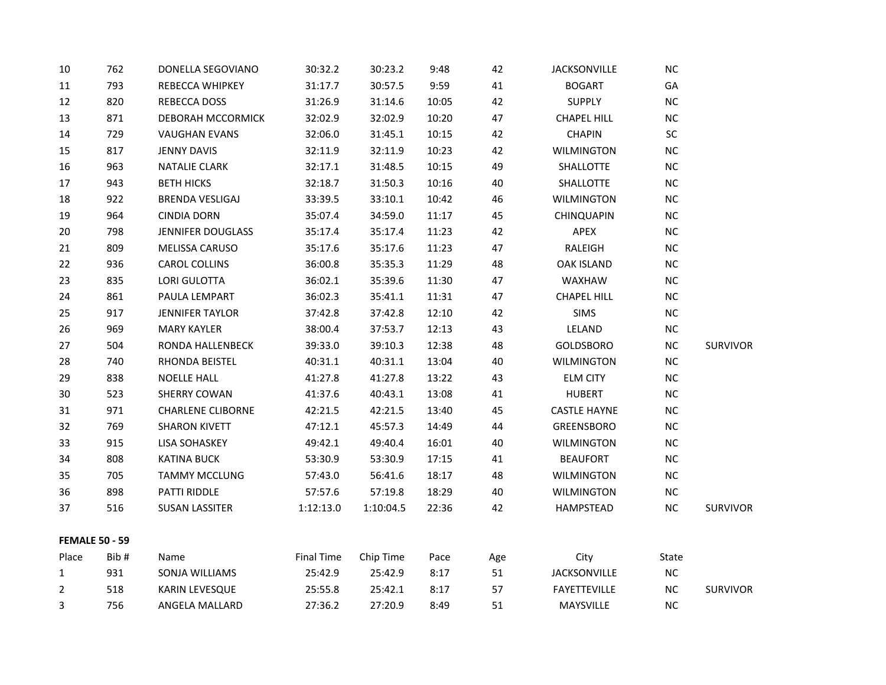| 10                    | 762  | DONELLA SEGOVIANO        | 30:32.2           | 30:23.2   | 9:48  | 42  | JACKSONVILLE        | <b>NC</b> |                 |
|-----------------------|------|--------------------------|-------------------|-----------|-------|-----|---------------------|-----------|-----------------|
| 11                    | 793  | REBECCA WHIPKEY          | 31:17.7           | 30:57.5   | 9:59  | 41  | <b>BOGART</b>       | GA        |                 |
| 12                    | 820  | REBECCA DOSS             | 31:26.9           | 31:14.6   | 10:05 | 42  | <b>SUPPLY</b>       | <b>NC</b> |                 |
| 13                    | 871  | DEBORAH MCCORMICK        | 32:02.9           | 32:02.9   | 10:20 | 47  | <b>CHAPEL HILL</b>  | $NC$      |                 |
| 14                    | 729  | <b>VAUGHAN EVANS</b>     | 32:06.0           | 31:45.1   | 10:15 | 42  | <b>CHAPIN</b>       | SC        |                 |
| 15                    | 817  | JENNY DAVIS              | 32:11.9           | 32:11.9   | 10:23 | 42  | <b>WILMINGTON</b>   | <b>NC</b> |                 |
| 16                    | 963  | <b>NATALIE CLARK</b>     | 32:17.1           | 31:48.5   | 10:15 | 49  | SHALLOTTE           | <b>NC</b> |                 |
| 17                    | 943  | <b>BETH HICKS</b>        | 32:18.7           | 31:50.3   | 10:16 | 40  | SHALLOTTE           | <b>NC</b> |                 |
| 18                    | 922  | <b>BRENDA VESLIGAJ</b>   | 33:39.5           | 33:10.1   | 10:42 | 46  | <b>WILMINGTON</b>   | $NC$      |                 |
| 19                    | 964  | <b>CINDIA DORN</b>       | 35:07.4           | 34:59.0   | 11:17 | 45  | <b>CHINQUAPIN</b>   | $NC$      |                 |
| 20                    | 798  | <b>JENNIFER DOUGLASS</b> | 35:17.4           | 35:17.4   | 11:23 | 42  | APEX                | $NC$      |                 |
| 21                    | 809  | MELISSA CARUSO           | 35:17.6           | 35:17.6   | 11:23 | 47  | RALEIGH             | <b>NC</b> |                 |
| 22                    | 936  | CAROL COLLINS            | 36:00.8           | 35:35.3   | 11:29 | 48  | <b>OAK ISLAND</b>   | <b>NC</b> |                 |
| 23                    | 835  | LORI GULOTTA             | 36:02.1           | 35:39.6   | 11:30 | 47  | WAXHAW              | NC        |                 |
| 24                    | 861  | PAULA LEMPART            | 36:02.3           | 35:41.1   | 11:31 | 47  | <b>CHAPEL HILL</b>  | $NC$      |                 |
| 25                    | 917  | <b>JENNIFER TAYLOR</b>   | 37:42.8           | 37:42.8   | 12:10 | 42  | <b>SIMS</b>         | $NC$      |                 |
| 26                    | 969  | <b>MARY KAYLER</b>       | 38:00.4           | 37:53.7   | 12:13 | 43  | LELAND              | <b>NC</b> |                 |
| 27                    | 504  | RONDA HALLENBECK         | 39:33.0           | 39:10.3   | 12:38 | 48  | GOLDSBORO           | <b>NC</b> | <b>SURVIVOR</b> |
| 28                    | 740  | RHONDA BEISTEL           | 40:31.1           | 40:31.1   | 13:04 | 40  | <b>WILMINGTON</b>   | NC        |                 |
| 29                    | 838  | <b>NOELLE HALL</b>       | 41:27.8           | 41:27.8   | 13:22 | 43  | <b>ELM CITY</b>     | $NC$      |                 |
| 30                    | 523  | SHERRY COWAN             | 41:37.6           | 40:43.1   | 13:08 | 41  | <b>HUBERT</b>       | $NC$      |                 |
| 31                    | 971  | <b>CHARLENE CLIBORNE</b> | 42:21.5           | 42:21.5   | 13:40 | 45  | <b>CASTLE HAYNE</b> | $NC$      |                 |
| 32                    | 769  | <b>SHARON KIVETT</b>     | 47:12.1           | 45:57.3   | 14:49 | 44  | <b>GREENSBORO</b>   | $NC$      |                 |
| 33                    | 915  | LISA SOHASKEY            | 49:42.1           | 49:40.4   | 16:01 | 40  | <b>WILMINGTON</b>   | <b>NC</b> |                 |
| 34                    | 808  | <b>KATINA BUCK</b>       | 53:30.9           | 53:30.9   | 17:15 | 41  | <b>BEAUFORT</b>     | $NC$      |                 |
| 35                    | 705  | <b>TAMMY MCCLUNG</b>     | 57:43.0           | 56:41.6   | 18:17 | 48  | <b>WILMINGTON</b>   | <b>NC</b> |                 |
| 36                    | 898  | PATTI RIDDLE             | 57:57.6           | 57:19.8   | 18:29 | 40  | WILMINGTON          | <b>NC</b> |                 |
| 37                    | 516  | <b>SUSAN LASSITER</b>    | 1:12:13.0         | 1:10:04.5 | 22:36 | 42  | HAMPSTEAD           | $NC$      | <b>SURVIVOR</b> |
| <b>FEMALE 50 - 59</b> |      |                          |                   |           |       |     |                     |           |                 |
| Place                 | Bib# | Name                     | <b>Final Time</b> | Chip Time | Pace  | Age | City                | State     |                 |
| $\mathbf{1}$          | 931  | SONJA WILLIAMS           | 25:42.9           | 25:42.9   | 8:17  | 51  | JACKSONVILLE        | $NC$      |                 |
| $\overline{2}$        | 518  | KARIN LEVESQUE           | 25:55.8           | 25:42.1   | 8:17  | 57  | <b>FAYETTEVILLE</b> | <b>NC</b> | <b>SURVIVOR</b> |
| 3                     | 756  | ANGELA MALLARD           | 27:36.2           | 27:20.9   | 8:49  | 51  | <b>MAYSVILLE</b>    | <b>NC</b> |                 |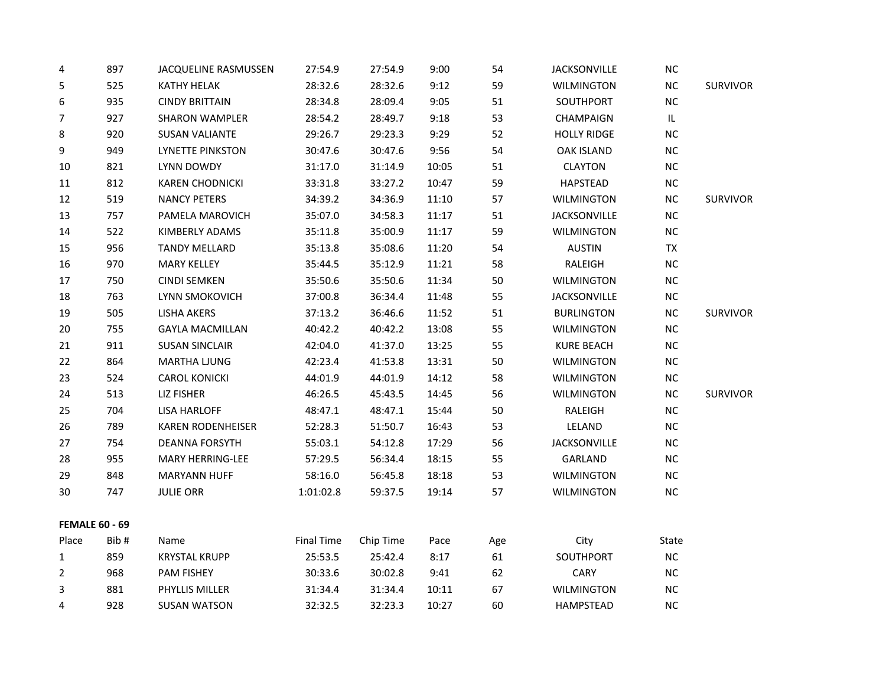| 4                     | 897  | <b>JACQUELINE RASMUSSEN</b> | 27:54.9           | 27:54.9   | 9:00  | 54  | JACKSONVILLE        | <b>NC</b> |                 |
|-----------------------|------|-----------------------------|-------------------|-----------|-------|-----|---------------------|-----------|-----------------|
| 5                     | 525  | <b>KATHY HELAK</b>          | 28:32.6           | 28:32.6   | 9:12  | 59  | <b>WILMINGTON</b>   | <b>NC</b> | <b>SURVIVOR</b> |
| 6                     | 935  | <b>CINDY BRITTAIN</b>       | 28:34.8           | 28:09.4   | 9:05  | 51  | SOUTHPORT           | <b>NC</b> |                 |
| 7                     | 927  | <b>SHARON WAMPLER</b>       | 28:54.2           | 28:49.7   | 9:18  | 53  | CHAMPAIGN           | IL        |                 |
| 8                     | 920  | <b>SUSAN VALIANTE</b>       | 29:26.7           | 29:23.3   | 9:29  | 52  | <b>HOLLY RIDGE</b>  | <b>NC</b> |                 |
| 9                     | 949  | LYNETTE PINKSTON            | 30:47.6           | 30:47.6   | 9:56  | 54  | <b>OAK ISLAND</b>   | $NC$      |                 |
| 10                    | 821  | LYNN DOWDY                  | 31:17.0           | 31:14.9   | 10:05 | 51  | <b>CLAYTON</b>      | <b>NC</b> |                 |
| 11                    | 812  | <b>KAREN CHODNICKI</b>      | 33:31.8           | 33:27.2   | 10:47 | 59  | <b>HAPSTEAD</b>     | <b>NC</b> |                 |
| 12                    | 519  | <b>NANCY PETERS</b>         | 34:39.2           | 34:36.9   | 11:10 | 57  | <b>WILMINGTON</b>   | $NC$      | <b>SURVIVOR</b> |
| 13                    | 757  | PAMELA MAROVICH             | 35:07.0           | 34:58.3   | 11:17 | 51  | <b>JACKSONVILLE</b> | $NC$      |                 |
| 14                    | 522  | KIMBERLY ADAMS              | 35:11.8           | 35:00.9   | 11:17 | 59  | <b>WILMINGTON</b>   | $\sf NC$  |                 |
| 15                    | 956  | <b>TANDY MELLARD</b>        | 35:13.8           | 35:08.6   | 11:20 | 54  | <b>AUSTIN</b>       | TX        |                 |
| 16                    | 970  | <b>MARY KELLEY</b>          | 35:44.5           | 35:12.9   | 11:21 | 58  | RALEIGH             | NC        |                 |
| 17                    | 750  | <b>CINDI SEMKEN</b>         | 35:50.6           | 35:50.6   | 11:34 | 50  | <b>WILMINGTON</b>   | $NC$      |                 |
| 18                    | 763  | LYNN SMOKOVICH              | 37:00.8           | 36:34.4   | 11:48 | 55  | <b>JACKSONVILLE</b> | <b>NC</b> |                 |
| 19                    | 505  | LISHA AKERS                 | 37:13.2           | 36:46.6   | 11:52 | 51  | <b>BURLINGTON</b>   | $\sf NC$  | <b>SURVIVOR</b> |
| 20                    | 755  | <b>GAYLA MACMILLAN</b>      | 40:42.2           | 40:42.2   | 13:08 | 55  | <b>WILMINGTON</b>   | <b>NC</b> |                 |
| 21                    | 911  | <b>SUSAN SINCLAIR</b>       | 42:04.0           | 41:37.0   | 13:25 | 55  | <b>KURE BEACH</b>   | $\sf NC$  |                 |
| 22                    | 864  | <b>MARTHA LJUNG</b>         | 42:23.4           | 41:53.8   | 13:31 | 50  | <b>WILMINGTON</b>   | $NC$      |                 |
| 23                    | 524  | <b>CAROL KONICKI</b>        | 44:01.9           | 44:01.9   | 14:12 | 58  | <b>WILMINGTON</b>   | $NC$      |                 |
| 24                    | 513  | LIZ FISHER                  | 46:26.5           | 45:43.5   | 14:45 | 56  | <b>WILMINGTON</b>   | $\sf NC$  | <b>SURVIVOR</b> |
| 25                    | 704  | <b>LISA HARLOFF</b>         | 48:47.1           | 48:47.1   | 15:44 | 50  | RALEIGH             | $NC$      |                 |
| 26                    | 789  | <b>KAREN RODENHEISER</b>    | 52:28.3           | 51:50.7   | 16:43 | 53  | LELAND              | $NC$      |                 |
| 27                    | 754  | <b>DEANNA FORSYTH</b>       | 55:03.1           | 54:12.8   | 17:29 | 56  | <b>JACKSONVILLE</b> | $NC$      |                 |
| 28                    | 955  | <b>MARY HERRING-LEE</b>     | 57:29.5           | 56:34.4   | 18:15 | 55  | GARLAND             | $NC$      |                 |
| 29                    | 848  | <b>MARYANN HUFF</b>         | 58:16.0           | 56:45.8   | 18:18 | 53  | <b>WILMINGTON</b>   | NC        |                 |
| 30                    | 747  | <b>JULIE ORR</b>            | 1:01:02.8         | 59:37.5   | 19:14 | 57  | <b>WILMINGTON</b>   | <b>NC</b> |                 |
| <b>FEMALE 60 - 69</b> |      |                             |                   |           |       |     |                     |           |                 |
| Place                 | Bib# | Name                        | <b>Final Time</b> | Chip Time | Pace  | Age | City                | State     |                 |
| $\mathbf{1}$          | 859  | <b>KRYSTAL KRUPP</b>        | 25:53.5           | 25:42.4   | 8:17  | 61  | SOUTHPORT           | $NC$      |                 |
| 2                     | 968  | PAM FISHEY                  | 30:33.6           | 30:02.8   | 9:41  | 62  | CARY                | NC        |                 |
| 3                     | 881  | PHYLLIS MILLER              | 31:34.4           | 31:34.4   | 10:11 | 67  | <b>WILMINGTON</b>   | $NC$      |                 |
| 4                     | 928  | <b>SUSAN WATSON</b>         | 32:32.5           | 32:23.3   | 10:27 | 60  | <b>HAMPSTEAD</b>    | <b>NC</b> |                 |
|                       |      |                             |                   |           |       |     |                     |           |                 |